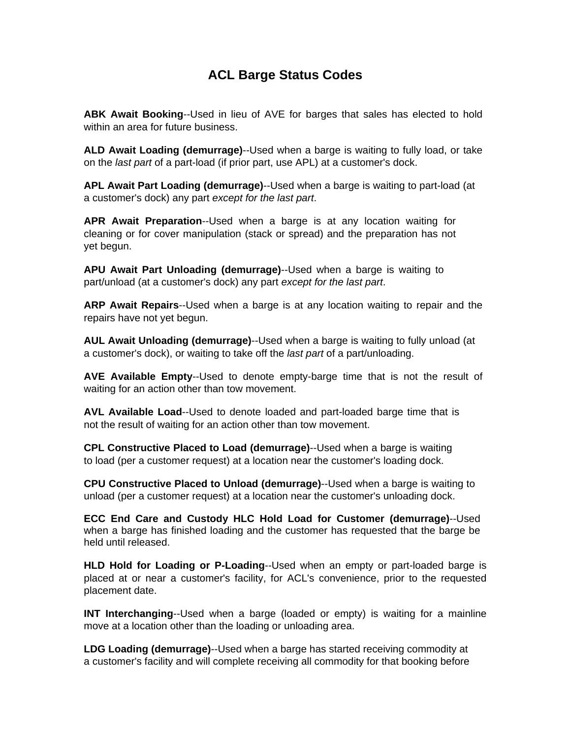## **ACL Barge Status Codes**

**ABK Await Booking**--Used in lieu of AVE for barges that sales has elected to hold within an area for future business.

**ALD Await Loading (demurrage)**--Used when a barge is waiting to fully load, or take on the *last part* of a part-load (if prior part, use APL) at a customer's dock.

**APL Await Part Loading (demurrage)**--Used when a barge is waiting to part-load (at a customer's dock) any part *except for the last part*.

**APR Await Preparation**--Used when a barge is at any location waiting for cleaning or for cover manipulation (stack or spread) and the preparation has not yet begun.

**APU Await Part Unloading (demurrage)**--Used when a barge is waiting to part/unload (at a customer's dock) any part *except for the last part*.

**ARP Await Repairs**--Used when a barge is at any location waiting to repair and the repairs have not yet begun.

**AUL Await Unloading (demurrage)**--Used when a barge is waiting to fully unload (at a customer's dock), or waiting to take off the *last part* of a part/unloading.

**AVE Available Empty**--Used to denote empty-barge time that is not the result of waiting for an action other than tow movement.

**AVL Available Load**--Used to denote loaded and part-loaded barge time that is not the result of waiting for an action other than tow movement.

**CPL Constructive Placed to Load (demurrage)**--Used when a barge is waiting to load (per a customer request) at a location near the customer's loading dock.

**CPU Constructive Placed to Unload (demurrage)**--Used when a barge is waiting to unload (per a customer request) at a location near the customer's unloading dock.

**ECC End Care and Custody HLC Hold Load for Customer (demurrage)**--Used when a barge has finished loading and the customer has requested that the barge be held until released.

**HLD Hold for Loading or P-Loading**--Used when an empty or part-loaded barge is placed at or near a customer's facility, for ACL's convenience, prior to the requested placement date.

**INT Interchanging**--Used when a barge (loaded or empty) is waiting for a mainline move at a location other than the loading or unloading area.

**LDG Loading (demurrage)**--Used when a barge has started receiving commodity at a customer's facility and will complete receiving all commodity for that booking before